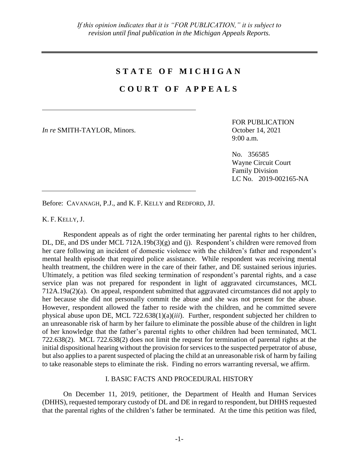# **S T A T E O F M I C H I G A N**

# **C O U R T O F A P P E A L S**

*In re* SMITH-TAYLOR, Minors. October 14, 2021

FOR PUBLICATION 9:00 a.m.

No. 356585 Wayne Circuit Court Family Division LC No. 2019-002165-NA

Before: CAVANAGH, P.J., and K. F. KELLY and REDFORD, JJ.

K. F. KELLY, J.

Respondent appeals as of right the order terminating her parental rights to her children, DL, DE, and DS under MCL 712A.19b(3)(g) and (j). Respondent's children were removed from her care following an incident of domestic violence with the children's father and respondent's mental health episode that required police assistance. While respondent was receiving mental health treatment, the children were in the care of their father, and DE sustained serious injuries. Ultimately, a petition was filed seeking termination of respondent's parental rights, and a case service plan was not prepared for respondent in light of aggravated circumstances, MCL 712A.19a(2)(a). On appeal, respondent submitted that aggravated circumstances did not apply to her because she did not personally commit the abuse and she was not present for the abuse. However, respondent allowed the father to reside with the children, and he committed severe physical abuse upon DE, MCL 722.638(1)(a)(*iii*). Further, respondent subjected her children to an unreasonable risk of harm by her failure to eliminate the possible abuse of the children in light of her knowledge that the father's parental rights to other children had been terminated, MCL 722.638(2). MCL 722.638(2) does not limit the request for termination of parental rights at the initial dispositional hearing without the provision for services to the suspected perpetrator of abuse, but also applies to a parent suspected of placing the child at an unreasonable risk of harm by failing to take reasonable steps to eliminate the risk. Finding no errors warranting reversal, we affirm.

## I. BASIC FACTS AND PROCEDURAL HISTORY

On December 11, 2019, petitioner, the Department of Health and Human Services (DHHS), requested temporary custody of DL and DE in regard to respondent, but DHHS requested that the parental rights of the children's father be terminated. At the time this petition was filed,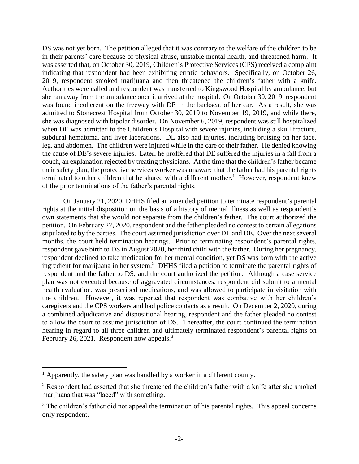DS was not yet born. The petition alleged that it was contrary to the welfare of the children to be in their parents' care because of physical abuse, unstable mental health, and threatened harm. It was asserted that, on October 30, 2019, Children's Protective Services (CPS) received a complaint indicating that respondent had been exhibiting erratic behaviors. Specifically, on October 26, 2019, respondent smoked marijuana and then threatened the children's father with a knife. Authorities were called and respondent was transferred to Kingswood Hospital by ambulance, but she ran away from the ambulance once it arrived at the hospital. On October 30, 2019, respondent was found incoherent on the freeway with DE in the backseat of her car. As a result, she was admitted to Stonecrest Hospital from October 30, 2019 to November 19, 2019, and while there, she was diagnosed with bipolar disorder. On November 6, 2019, respondent was still hospitalized when DE was admitted to the Children's Hospital with severe injuries, including a skull fracture, subdural hematoma, and liver lacerations. DL also had injuries, including bruising on her face, leg, and abdomen. The children were injured while in the care of their father. He denied knowing the cause of DE's severe injuries. Later, he proffered that DE suffered the injuries in a fall from a couch, an explanation rejected by treating physicians. At the time that the children's father became their safety plan, the protective services worker was unaware that the father had his parental rights terminated to other children that he shared with a different mother.<sup>1</sup> However, respondent knew of the prior terminations of the father's parental rights.

On January 21, 2020, DHHS filed an amended petition to terminate respondent's parental rights at the initial disposition on the basis of a history of mental illness as well as respondent's own statements that she would not separate from the children's father. The court authorized the petition. On February 27, 2020, respondent and the father pleaded no contest to certain allegations stipulated to by the parties. The court assumed jurisdiction over DL and DE. Over the next several months, the court held termination hearings. Prior to terminating respondent's parental rights, respondent gave birth to DS in August 2020, her third child with the father. During her pregnancy, respondent declined to take medication for her mental condition, yet DS was born with the active ingredient for marijuana in her system.<sup>2</sup> DHHS filed a petition to terminate the parental rights of respondent and the father to DS, and the court authorized the petition. Although a case service plan was not executed because of aggravated circumstances, respondent did submit to a mental health evaluation, was prescribed medications, and was allowed to participate in visitation with the children. However, it was reported that respondent was combative with her children's caregivers and the CPS workers and had police contacts as a result. On December 2, 2020, during a combined adjudicative and dispositional hearing, respondent and the father pleaded no contest to allow the court to assume jurisdiction of DS. Thereafter, the court continued the termination hearing in regard to all three children and ultimately terminated respondent's parental rights on February 26, 2021. Respondent now appeals.<sup>3</sup>

 $\overline{a}$ 

<sup>&</sup>lt;sup>1</sup> Apparently, the safety plan was handled by a worker in a different county.

<sup>&</sup>lt;sup>2</sup> Respondent had asserted that she threatened the children's father with a knife after she smoked marijuana that was "laced" with something.

 $3$  The children's father did not appeal the termination of his parental rights. This appeal concerns only respondent.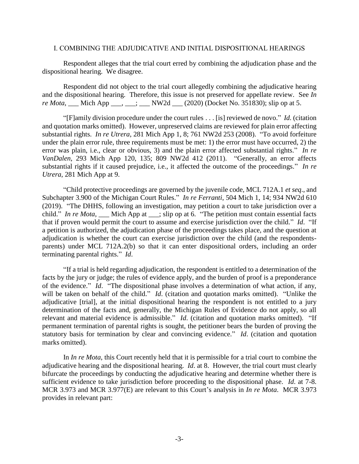### I. COMBINING THE ADJUDICATIVE AND INITIAL DISPOSITIONAL HEARINGS

Respondent alleges that the trial court erred by combining the adjudication phase and the dispositional hearing. We disagree.

Respondent did not object to the trial court allegedly combining the adjudicative hearing and the dispositional hearing. Therefore, this issue is not preserved for appellate review. See *In re Mota*, Mich App \_\_\_, \_\_; \_\_\_ NW2d \_\_\_ (2020) (Docket No. 351830); slip op at 5.

"[F]amily division procedure under the court rules . . . [is] reviewed de novo." *Id.* (citation and quotation marks omitted). However, unpreserved claims are reviewed for plain error affecting substantial rights. *In re Utrera*, 281 Mich App 1, 8; 761 NW2d 253 (2008). "To avoid forfeiture under the plain error rule, three requirements must be met: 1) the error must have occurred, 2) the error was plain, i.e., clear or obvious, 3) and the plain error affected substantial rights." *In re VanDalen*, 293 Mich App 120, 135; 809 NW2d 412 (2011). "Generally, an error affects substantial rights if it caused prejudice, i.e., it affected the outcome of the proceedings." *In re Utrera*, 281 Mich App at 9.

"Child protective proceedings are governed by the juvenile code, MCL 712A.1 *et seq*., and Subchapter 3.900 of the Michigan Court Rules." *In re Ferranti*, 504 Mich 1, 14; 934 NW2d 610 (2019). "The DHHS, following an investigation, may petition a court to take jurisdiction over a child." *In re Mota*, \_\_\_ Mich App at \_\_\_; slip op at 6. "The petition must contain essential facts that if proven would permit the court to assume and exercise jurisdiction over the child." *Id*. "If a petition is authorized, the adjudication phase of the proceedings takes place, and the question at adjudication is whether the court can exercise jurisdiction over the child (and the respondentsparents) under MCL 712A.2(b) so that it can enter dispositional orders, including an order terminating parental rights." *Id*.

"If a trial is held regarding adjudication, the respondent is entitled to a determination of the facts by the jury or judge; the rules of evidence apply, and the burden of proof is a preponderance of the evidence." *Id*. "The dispositional phase involves a determination of what action, if any, will be taken on behalf of the child." *Id*. (citation and quotation marks omitted). "Unlike the adjudicative [trial], at the initial dispositional hearing the respondent is not entitled to a jury determination of the facts and, generally, the Michigan Rules of Evidence do not apply, so all relevant and material evidence is admissible." *Id*. (citation and quotation marks omitted). "If permanent termination of parental rights is sought, the petitioner bears the burden of proving the statutory basis for termination by clear and convincing evidence." *Id*. (citation and quotation marks omitted).

In *In re Mota*, this Court recently held that it is permissible for a trial court to combine the adjudicative hearing and the dispositional hearing. *Id*. at 8. However, the trial court must clearly bifurcate the proceedings by conducting the adjudicative hearing and determine whether there is sufficient evidence to take jurisdiction before proceeding to the dispositional phase. *Id*. at 7-8. MCR 3.973 and MCR 3.977(E) are relevant to this Court's analysis in *In re Mota*. MCR 3.973 provides in relevant part: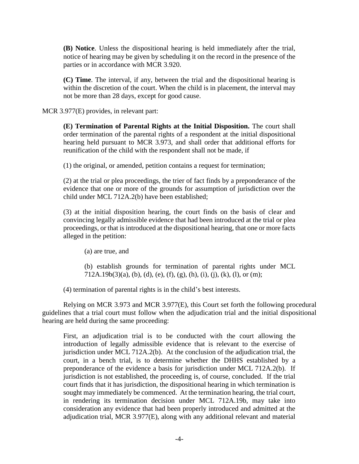**(B) Notice**. Unless the dispositional hearing is held immediately after the trial, notice of hearing may be given by scheduling it on the record in the presence of the parties or in accordance with MCR 3.920.

**(C) Time**. The interval, if any, between the trial and the dispositional hearing is within the discretion of the court. When the child is in placement, the interval may not be more than 28 days, except for good cause.

MCR 3.977(E) provides, in relevant part:

**(E) Termination of Parental Rights at the Initial Disposition.** The court shall order termination of the parental rights of a respondent at the initial dispositional hearing held pursuant to MCR 3.973, and shall order that additional efforts for reunification of the child with the respondent shall not be made, if

(1) the original, or amended, petition contains a request for termination;

(2) at the trial or plea proceedings, the trier of fact finds by a preponderance of the evidence that one or more of the grounds for assumption of jurisdiction over the child under MCL 712A.2(b) have been established;

(3) at the initial disposition hearing, the court finds on the basis of clear and convincing legally admissible evidence that had been introduced at the trial or plea proceedings, or that is introduced at the dispositional hearing, that one or more facts alleged in the petition:

(a) are true, and

(b) establish grounds for termination of parental rights under MCL  $712A.19b(3)(a)$ , (b), (d), (e), (f), (g), (h), (i), (j), (k), (l), or (m);

(4) termination of parental rights is in the child's best interests.

Relying on MCR 3.973 and MCR 3.977(E), this Court set forth the following procedural guidelines that a trial court must follow when the adjudication trial and the initial dispositional hearing are held during the same proceeding:

First, an adjudication trial is to be conducted with the court allowing the introduction of legally admissible evidence that is relevant to the exercise of jurisdiction under MCL 712A.2(b). At the conclusion of the adjudication trial, the court, in a bench trial, is to determine whether the DHHS established by a preponderance of the evidence a basis for jurisdiction under MCL 712A.2(b). If jurisdiction is not established, the proceeding is, of course, concluded. If the trial court finds that it has jurisdiction, the dispositional hearing in which termination is sought may immediately be commenced. At the termination hearing, the trial court, in rendering its termination decision under MCL 712A.19b, may take into consideration any evidence that had been properly introduced and admitted at the adjudication trial, MCR 3.977(E), along with any additional relevant and material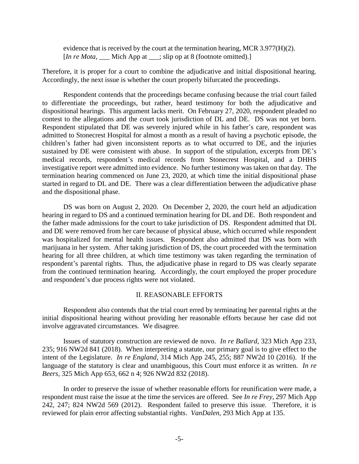evidence that is received by the court at the termination hearing, MCR 3.977(H)(2). [*In re Mota*, <u>\_\_\_</u> Mich App at \_\_\_; slip op at 8 (footnote omitted).]

Therefore, it is proper for a court to combine the adjudicative and initial dispositional hearing. Accordingly, the next issue is whether the court properly bifurcated the proceedings.

Respondent contends that the proceedings became confusing because the trial court failed to differentiate the proceedings, but rather, heard testimony for both the adjudicative and dispositional hearings. This argument lacks merit. On February 27, 2020, respondent pleaded no contest to the allegations and the court took jurisdiction of DL and DE. DS was not yet born. Respondent stipulated that DE was severely injured while in his father's care, respondent was admitted to Stonecrest Hospital for almost a month as a result of having a psychotic episode, the children's father had given inconsistent reports as to what occurred to DE, and the injuries sustained by DE were consistent with abuse. In support of the stipulation, excerpts from DE's medical records, respondent's medical records from Stonecrest Hospital, and a DHHS investigative report were admitted into evidence. No further testimony was taken on that day. The termination hearing commenced on June 23, 2020, at which time the initial dispositional phase started in regard to DL and DE. There was a clear differentiation between the adjudicative phase and the dispositional phase.

DS was born on August 2, 2020. On December 2, 2020, the court held an adjudication hearing in regard to DS and a continued termination hearing for DL and DE. Both respondent and the father made admissions for the court to take jurisdiction of DS. Respondent admitted that DL and DE were removed from her care because of physical abuse, which occurred while respondent was hospitalized for mental health issues. Respondent also admitted that DS was born with marijuana in her system. After taking jurisdiction of DS, the court proceeded with the termination hearing for all three children, at which time testimony was taken regarding the termination of respondent's parental rights. Thus, the adjudicative phase in regard to DS was clearly separate from the continued termination hearing. Accordingly, the court employed the proper procedure and respondent's due process rights were not violated.

#### II. REASONABLE EFFORTS

Respondent also contends that the trial court erred by terminating her parental rights at the initial dispositional hearing without providing her reasonable efforts because her case did not involve aggravated circumstances. We disagree.

Issues of statutory construction are reviewed de novo. *In re Ballard*, 323 Mich App 233, 235; 916 NW2d 841 (2018). When interpreting a statute, our primary goal is to give effect to the intent of the Legislature. *In re England*, 314 Mich App 245, 255; 887 NW2d 10 (2016). If the language of the statutory is clear and unambiguous, this Court must enforce it as written. *In re Beers*, 325 Mich App 653, 662 n 4; 926 NW2d 832 (2018).

In order to preserve the issue of whether reasonable efforts for reunification were made, a respondent must raise the issue at the time the services are offered. See *In re Frey*, 297 Mich App 242, 247; 824 NW2d 569 (2012). Respondent failed to preserve this issue. Therefore, it is reviewed for plain error affecting substantial rights. *VanDalen*, 293 Mich App at 135.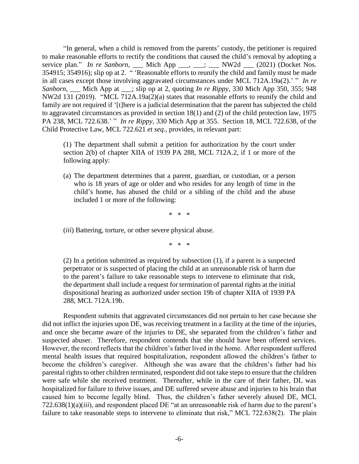"In general, when a child is removed from the parents' custody, the petitioner is required to make reasonable efforts to rectify the conditions that caused the child's removal by adopting a service plan." *In re Sanborn*, Mich App <sub>...</sub>, ...; \_\_\_ NW2d \_\_ (2021) (Docket Nos. 354915; 354916); slip op at 2. " 'Reasonable efforts to reunify the child and family must be made in all cases except those involving aggravated circumstances under MCL 712A.19a(2).' " *In re Sanborn*, \_\_\_ Mich App at \_\_\_; slip op at 2, quoting *In re Rippy*, 330 Mich App 350, 355; 948 NW2d 131 (2019). "MCL 712A.19a(2)(a) states that reasonable efforts to reunify the child and family are not required if '[t]here is a judicial determination that the parent has subjected the child to aggravated circumstances as provided in section 18(1) and (2) of the child protection law, 1975 PA 238, MCL 722.638.' " *In re Rippy*, 330 Mich App at 355. Section 18, MCL 722.638, of the Child Protective Law, MCL 722.621 *et seq*., provides, in relevant part:

(1) The department shall submit a petition for authorization by the court under section 2(b) of chapter XIIA of 1939 PA 288, MCL 712A.2, if 1 or more of the following apply:

(a) The department determines that a parent, guardian, or custodian, or a person who is 18 years of age or older and who resides for any length of time in the child's home, has abused the child or a sibling of the child and the abuse included 1 or more of the following:

\* \* \*

(*iii*) Battering, torture, or other severe physical abuse.

\* \* \*

(2) In a petition submitted as required by subsection (1), if a parent is a suspected perpetrator or is suspected of placing the child at an unreasonable risk of harm due to the parent's failure to take reasonable steps to intervene to eliminate that risk, the department shall include a request for termination of parental rights at the initial dispositional hearing as authorized under section 19b of chapter XIIA of 1939 PA 288, MCL 712A.19b.

Respondent submits that aggravated circumstances did not pertain to her case because she did not inflict the injuries upon DE, was receiving treatment in a facility at the time of the injuries, and once she became aware of the injuries to DE, she separated from the children's father and suspected abuser. Therefore, respondent contends that she should have been offered services. However, the record reflects that the children's father lived in the home. After respondent suffered mental health issues that required hospitalization, respondent allowed the children's father to become the children's caregiver. Although she was aware that the children's father had his parental rights to other children terminated, respondent did not take steps to ensure that the children were safe while she received treatment. Thereafter, while in the care of their father, DL was hospitalized for failure to thrive issues, and DE suffered severe abuse and injuries to his brain that caused him to become legally blind. Thus, the children's father severely abused DE, MCL 722.638(1)(a)(*iii*), and respondent placed DE "at an unreasonable risk of harm due to the parent's failure to take reasonable steps to intervene to eliminate that risk," MCL 722.638(2). The plain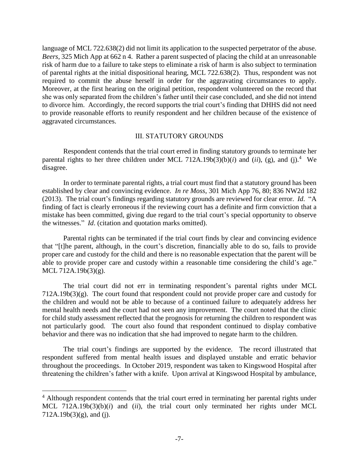language of MCL 722.638(2) did not limit its application to the suspected perpetrator of the abuse. *Beers*, 325 Mich App at 662 n 4. Rather a parent suspected of placing the child at an unreasonable risk of harm due to a failure to take steps to eliminate a risk of harm is also subject to termination of parental rights at the initial dispositional hearing, MCL 722.638(2). Thus, respondent was not required to commit the abuse herself in order for the aggravating circumstances to apply. Moreover, at the first hearing on the original petition, respondent volunteered on the record that she was only separated from the children's father until their case concluded, and she did not intend to divorce him. Accordingly, the record supports the trial court's finding that DHHS did not need to provide reasonable efforts to reunify respondent and her children because of the existence of aggravated circumstances.

### III. STATUTORY GROUNDS

Respondent contends that the trial court erred in finding statutory grounds to terminate her parental rights to her three children under MCL 712A.19b(3)(b)(*i*) and (*ii*), (g), and (j).<sup>4</sup> We disagree.

In order to terminate parental rights, a trial court must find that a statutory ground has been established by clear and convincing evidence. *In re Moss*, 301 Mich App 76, 80; 836 NW2d 182 (2013). The trial court's findings regarding statutory grounds are reviewed for clear error. *Id*. "A finding of fact is clearly erroneous if the reviewing court has a definite and firm conviction that a mistake has been committed, giving due regard to the trial court's special opportunity to observe the witnesses." *Id*. (citation and quotation marks omitted).

Parental rights can be terminated if the trial court finds by clear and convincing evidence that "[t]he parent, although, in the court's discretion, financially able to do so, fails to provide proper care and custody for the child and there is no reasonable expectation that the parent will be able to provide proper care and custody within a reasonable time considering the child's age." MCL 712A.19b(3)(g).

The trial court did not err in terminating respondent's parental rights under MCL  $712A.19b(3)(g)$ . The court found that respondent could not provide proper care and custody for the children and would not be able to because of a continued failure to adequately address her mental health needs and the court had not seen any improvement. The court noted that the clinic for child study assessment reflected that the prognosis for returning the children to respondent was not particularly good. The court also found that respondent continued to display combative behavior and there was no indication that she had improved to negate harm to the children.

The trial court's findings are supported by the evidence. The record illustrated that respondent suffered from mental health issues and displayed unstable and erratic behavior throughout the proceedings. In October 2019, respondent was taken to Kingswood Hospital after threatening the children's father with a knife. Upon arrival at Kingswood Hospital by ambulance,

 $\overline{a}$ 

<sup>&</sup>lt;sup>4</sup> Although respondent contends that the trial court erred in terminating her parental rights under MCL 712A.19b(3)(b)(*i*) and (*ii*), the trial court only terminated her rights under MCL  $712A.19b(3)(g)$ , and (j).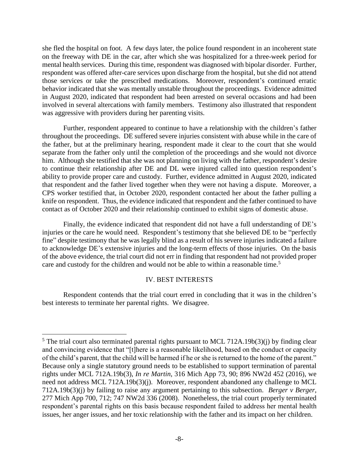she fled the hospital on foot. A few days later, the police found respondent in an incoherent state on the freeway with DE in the car, after which she was hospitalized for a three-week period for mental health services. During this time, respondent was diagnosed with bipolar disorder. Further, respondent was offered after-care services upon discharge from the hospital, but she did not attend those services or take the prescribed medications. Moreover, respondent's continued erratic behavior indicated that she was mentally unstable throughout the proceedings. Evidence admitted in August 2020, indicated that respondent had been arrested on several occasions and had been involved in several altercations with family members. Testimony also illustrated that respondent was aggressive with providers during her parenting visits.

Further, respondent appeared to continue to have a relationship with the children's father throughout the proceedings. DE suffered severe injuries consistent with abuse while in the care of the father, but at the preliminary hearing, respondent made it clear to the court that she would separate from the father only until the completion of the proceedings and she would not divorce him. Although she testified that she was not planning on living with the father, respondent's desire to continue their relationship after DE and DL were injured called into question respondent's ability to provide proper care and custody. Further, evidence admitted in August 2020, indicated that respondent and the father lived together when they were not having a dispute. Moreover, a CPS worker testified that, in October 2020, respondent contacted her about the father pulling a knife on respondent. Thus, the evidence indicated that respondent and the father continued to have contact as of October 2020 and their relationship continued to exhibit signs of domestic abuse.

Finally, the evidence indicated that respondent did not have a full understanding of DE's injuries or the care he would need. Respondent's testimony that she believed DE to be "perfectly fine" despite testimony that he was legally blind as a result of his severe injuries indicated a failure to acknowledge DE's extensive injuries and the long-term effects of those injuries. On the basis of the above evidence, the trial court did not err in finding that respondent had not provided proper care and custody for the children and would not be able to within a reasonable time.<sup>5</sup>

## IV. BEST INTERESTS

Respondent contends that the trial court erred in concluding that it was in the children's best interests to terminate her parental rights. We disagree.

 $\overline{a}$ 

 $5$  The trial court also terminated parental rights pursuant to MCL 712A.19b(3)(j) by finding clear and convincing evidence that "[t]here is a reasonable likelihood, based on the conduct or capacity of the child's parent, that the child will be harmed if he or she is returned to the home of the parent." Because only a single statutory ground needs to be established to support termination of parental rights under MCL 712A.19b(3), *In re Martin*, 316 Mich App 73, 90; 896 NW2d 452 (2016), we need not address MCL 712A.19b(3)(j). Moreover, respondent abandoned any challenge to MCL 712A.19b(3)(j) by failing to raise any argument pertaining to this subsection. *Berger v Berger*, 277 Mich App 700, 712; 747 NW2d 336 (2008). Nonetheless, the trial court properly terminated respondent's parental rights on this basis because respondent failed to address her mental health issues, her anger issues, and her toxic relationship with the father and its impact on her children.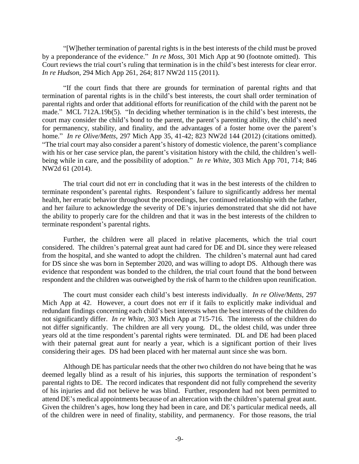"[W]hether termination of parental rights is in the best interests of the child must be proved by a preponderance of the evidence." *In re Moss*, 301 Mich App at 90 (footnote omitted). This Court reviews the trial court's ruling that termination is in the child's best interests for clear error. *In re Hudson*, 294 Mich App 261, 264; 817 NW2d 115 (2011).

"If the court finds that there are grounds for termination of parental rights and that termination of parental rights is in the child's best interests, the court shall order termination of parental rights and order that additional efforts for reunification of the child with the parent not be made." MCL 712A.19b(5). "In deciding whether termination is in the child's best interests, the court may consider the child's bond to the parent, the parent's parenting ability, the child's need for permanency, stability, and finality, and the advantages of a foster home over the parent's home." *In re Olive/Metts*, 297 Mich App 35, 41-42; 823 NW2d 144 (2012) (citations omitted). "The trial court may also consider a parent's history of domestic violence, the parent's compliance with his or her case service plan, the parent's visitation history with the child, the children's wellbeing while in care, and the possibility of adoption." *In re White*, 303 Mich App 701, 714; 846 NW2d 61 (2014).

The trial court did not err in concluding that it was in the best interests of the children to terminate respondent's parental rights. Respondent's failure to significantly address her mental health, her erratic behavior throughout the proceedings, her continued relationship with the father, and her failure to acknowledge the severity of DE's injuries demonstrated that she did not have the ability to properly care for the children and that it was in the best interests of the children to terminate respondent's parental rights.

Further, the children were all placed in relative placements, which the trial court considered. The children's paternal great aunt had cared for DE and DL since they were released from the hospital, and she wanted to adopt the children. The children's maternal aunt had cared for DS since she was born in September 2020, and was willing to adopt DS. Although there was evidence that respondent was bonded to the children, the trial court found that the bond between respondent and the children was outweighed by the risk of harm to the children upon reunification.

The court must consider each child's best interests individually. *In re Olive/Metts*, 297 Mich App at 42. However, a court does not err if it fails to explicitly make individual and redundant findings concerning each child's best interests when the best interests of the children do not significantly differ. *In re White*, 303 Mich App at 715-716. The interests of the children do not differ significantly. The children are all very young. DL, the oldest child, was under three years old at the time respondent's parental rights were terminated. DL and DE had been placed with their paternal great aunt for nearly a year, which is a significant portion of their lives considering their ages. DS had been placed with her maternal aunt since she was born.

Although DE has particular needs that the other two children do not have being that he was deemed legally blind as a result of his injuries, this supports the termination of respondent's parental rights to DE. The record indicates that respondent did not fully comprehend the severity of his injuries and did not believe he was blind. Further, respondent had not been permitted to attend DE's medical appointments because of an altercation with the children's paternal great aunt. Given the children's ages, how long they had been in care, and DE's particular medical needs, all of the children were in need of finality, stability, and permanency. For those reasons, the trial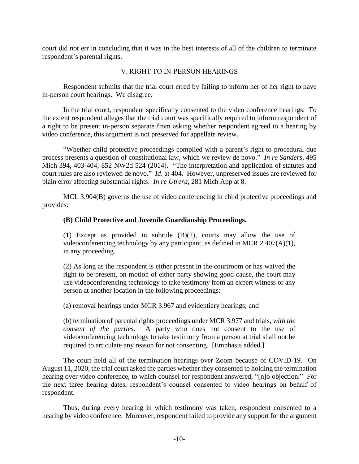court did not err in concluding that it was in the best interests of all of the children to terminate respondent's parental rights.

## V. RIGHT TO IN-PERSON HEARINGS

Respondent submits that the trial court erred by failing to inform her of her right to have in-person court hearings. We disagree.

In the trial court, respondent specifically consented to the video conference hearings. To the extent respondent alleges that the trial court was specifically required to inform respondent of a right to be present in-person separate from asking whether respondent agreed to a hearing by video conference, this argument is not preserved for appellate review.

"Whether child protective proceedings complied with a parent's right to procedural due process presents a question of constitutional law, which we review de novo." *In re Sanders*, 495 Mich 394, 403-404; 852 NW2d 524 (2014). "The interpretation and application of statutes and court rules are also reviewed de novo." *Id*. at 404. However, unpreserved issues are reviewed for plain error affecting substantial rights. *In re Utrera*, 281 Mich App at 8.

MCL 3.904(B) governs the use of video conferencing in child protective proceedings and provides:

## **(B) Child Protective and Juvenile Guardianship Proceedings.**

(1) Except as provided in subrule (B)(2), courts may allow the use of videoconferencing technology by any participant, as defined in MCR 2.407(A)(1), in any proceeding.

(2) As long as the respondent is either present in the courtroom or has waived the right to be present, on motion of either party showing good cause, the court may use videoconferencing technology to take testimony from an expert witness or any person at another location in the following proceedings:

(a) removal hearings under MCR 3.967 and evidentiary hearings; and

(b) termination of parental rights proceedings under MCR 3.977 and trials, *with the consent of the parties*. A party who does not consent to the use of videoconferencing technology to take testimony from a person at trial shall not be required to articulate any reason for not consenting. [Emphasis added.]

The court held all of the termination hearings over Zoom because of COVID-19. On August 11, 2020, the trial court asked the parties whether they consented to holding the termination hearing over video conference, to which counsel for respondent answered, "[n]o objection." For the next three hearing dates, respondent's counsel consented to video hearings on behalf of respondent.

Thus, during every hearing in which testimony was taken, respondent consented to a hearing by video conference. Moreover, respondent failed to provide any support for the argument